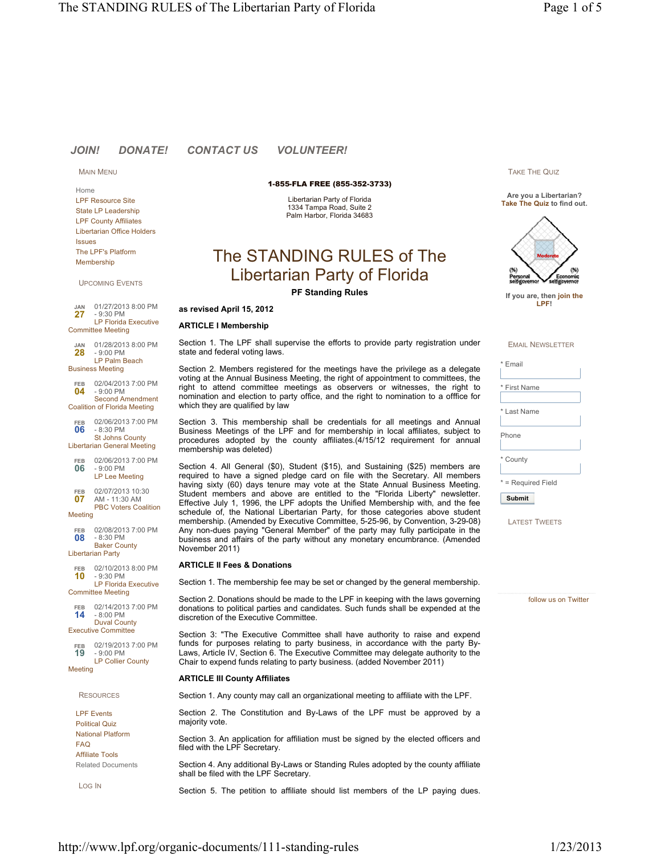# *JOIN! DONATE! CONTACT US VOLUNTEER!*

MAIN MENU

Home LPF Resource Site State LP Leadership LPF County Affiliates Libertarian Office Holders Issues The LPF's Platform Membership

UPCOMING EVENTS

**27 JAN** 01/27/2013 8:00 PM - 9:30 PM LP Florida Executive Committee Meeting

**28** 01/28/2013 8:00 PM - 9:00 PM LP Palm Beach Business Meeting **JAN**

**04** 02/04/2013 7:00 PM - 9:00 PM Second Amendment **FEB**

Coalition of Florida Meeting

**06** 02/06/2013 7:00 PM - 8:30 PM St Johns County **FEB**

Libertarian General Meeting 02/06/2013 7:00 PM **FEB**

**06** - 9:00 PM LP Lee Meeting

**07** 02/07/2013 10:30 AM - 11:30 AM PBC Voters Coalition **FEB**

Meeting

**08** 02/08/2013 7:00 PM - 8:30 PM Baker County Libertarian Party **FEB**

**10** 02/10/2013 8:00 PM - 9:30 PM LP Florida Executive Committee Meeting **FEB**

**14** 02/14/2013 7:00 PM - 8:00 PM Duval County **FEB**

Executive Committee 02/19/2013 7:00 PM

**19** - 9:00 PM LP Collier County **FEB**

**Meeting** 

**RESOURCES** 

LPF Events Political Quiz National Platform FAQ Affiliate Tools Related Documents

LOG IN

1-855-FLA FREE (855-352-3733)

Libertarian Party of Florida 1334 Tampa Road, Suite 2 Palm Harbor, Florida 34683

# The STANDING RULES of The Libertarian Party of Florida

**PF Standing Rules**

# **as revised April 15, 2012**

# **ARTICLE I Membership**

Section 1. The LPF shall supervise the efforts to provide party registration under state and federal voting laws.

Section 2. Members registered for the meetings have the privilege as a delegate voting at the Annual Business Meeting, the right of appointment to committees, the right to attend committee meetings as observers or witnesses, the right to nomination and election to party office, and the right to nomination to a offfice for which they are qualified by law

Section 3. This membership shall be credentials for all meetings and Annual Business Meetings of the LPF and for membership in local affiliates, subject to procedures adopted by the county affiliates.(4/15/12 requirement for annual membership was deleted)

Section 4. All General (\$0), Student (\$15), and Sustaining (\$25) members are required to have a signed pledge card on file with the Secretary. All members having sixty (60) days tenure may vote at the State Annual Business Meeting. Student members and above are entitled to the "Florida Liberty" newsletter. Effective July 1, 1996, the LPF adopts the Unified Membership with, and the fee schedule of, the National Libertarian Party, for those categories above student membership. (Amended by Executive Committee, 5-25-96, by Convention, 3-29-08) Any non-dues paying "General Member" of the party may fully participate in the business and affairs of the party without any monetary encumbrance. (Amended November 2011)

### **ARTICLE II Fees & Donations**

Section 1. The membership fee may be set or changed by the general membership.

Section 2. Donations should be made to the LPF in keeping with the laws governing donations to political parties and candidates. Such funds shall be expended at the discretion of the Executive Committee.

Section 3: "The Executive Committee shall have authority to raise and expend funds for purposes relating to party business, in accordance with the party By-Laws, Article IV, Section 6. The Executive Committee may delegate authority to the Chair to expend funds relating to party business. (added November 2011)

# **ARTICLE III County Affiliates**

Section 1. Any county may call an organizational meeting to affiliate with the LPF.

Section 2. The Constitution and By-Laws of the LPF must be approved by a majority vote.

Section 3. An application for affiliation must be signed by the elected officers and filed with the LPF Secretary.

Section 4. Any additional By-Laws or Standing Rules adopted by the county affiliate shall be filed with the LPF Secretary.

Section 5. The petition to affiliate should list members of the LP paying dues.

TAKE THE QUIZ

**Are you a Libertarian? Take The Quiz to find out.**



**If you are, then join the LPF!**

EMAIL NEWSLETTER

**Email** 

Last Name

Phone

\* County

\* = Required Field

**Submit**

LATEST TWEETS

follow us on Twitter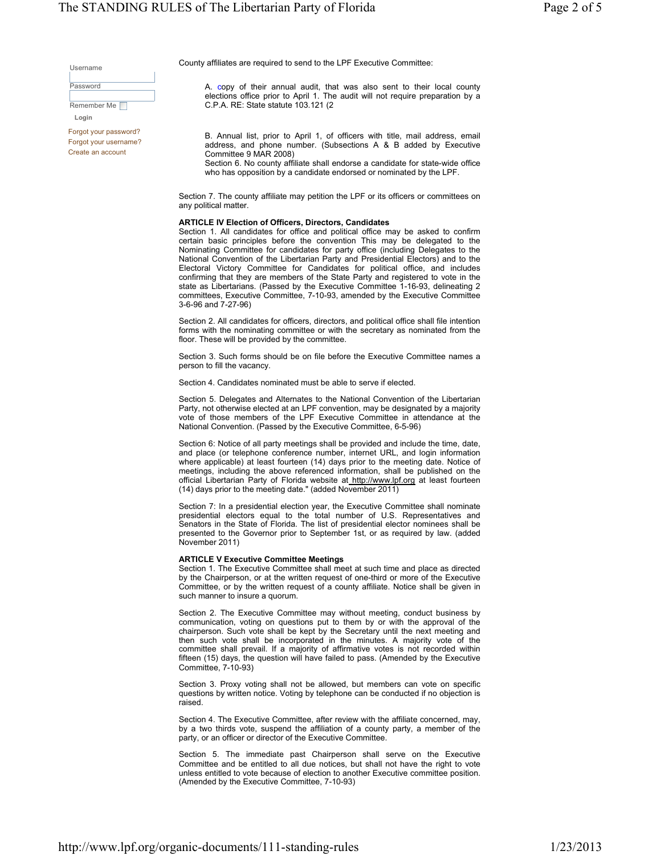Username

Password

Remember Me **Login**

Forgot your password? Forgot your username? Create an account

County affiliates are required to send to the LPF Executive Committee:

A. copy of their annual audit, that was also sent to their local county elections office prior to April 1. The audit will not require preparation by a C.P.A. RE: State statute 103.121 (2

B. Annual list, prior to April 1, of officers with title, mail address, email address, and phone number. (Subsections A & B added by Executive Committee 9 MAR 2008) Section 6. No county affiliate shall endorse a candidate for state-wide office

who has opposition by a candidate endorsed or nominated by the LPF.

Section 7. The county affiliate may petition the LPF or its officers or committees on any political matter.

#### **ARTICLE IV Election of Officers, Directors, Candidates**

Section 1. All candidates for office and political office may be asked to confirm certain basic principles before the convention This may be delegated to the Nominating Committee for candidates for party office (including Delegates to the National Convention of the Libertarian Party and Presidential Electors) and to the Electoral Victory Committee for Candidates for political office, and includes confirming that they are members of the State Party and registered to vote in the state as Libertarians. (Passed by the Executive Committee 1-16-93, delineating 2 committees, Executive Committee, 7-10-93, amended by the Executive Committee 3-6-96 and 7-27-96)

Section 2. All candidates for officers, directors, and political office shall file intention forms with the nominating committee or with the secretary as nominated from the floor. These will be provided by the committee.

Section 3. Such forms should be on file before the Executive Committee names a person to fill the vacancy.

Section 4. Candidates nominated must be able to serve if elected.

Section 5. Delegates and Alternates to the National Convention of the Libertarian Party, not otherwise elected at an LPF convention, may be designated by a majority vote of those members of the LPF Executive Committee in attendance at the National Convention. (Passed by the Executive Committee, 6-5-96)

Section 6: Notice of all party meetings shall be provided and include the time, date, and place (or telephone conference number, internet URL, and login information where applicable) at least fourteen (14) days prior to the meeting date. Notice of meetings, including the above referenced information, shall be published on the official Libertarian Party of Florida website at http://www.lpf.org at least fourteen (14) days prior to the meeting date." (added November 2011)

Section 7: In a presidential election year, the Executive Committee shall nominate presidential electors equal to the total number of U.S. Representatives and Senators in the State of Florida. The list of presidential elector nominees shall be presented to the Governor prior to September 1st, or as required by law. (added November 2011)

#### **ARTICLE V Executive Committee Meetings**

Section 1. The Executive Committee shall meet at such time and place as directed by the Chairperson, or at the written request of one-third or more of the Executive Committee, or by the written request of a county affiliate. Notice shall be given in such manner to insure a quorum.

Section 2. The Executive Committee may without meeting, conduct business by communication, voting on questions put to them by or with the approval of the chairperson. Such vote shall be kept by the Secretary until the next meeting and then such vote shall be incorporated in the minutes. A majority vote of the committee shall prevail. If a majority of affirmative votes is not recorded within fifteen (15) days, the question will have failed to pass. (Amended by the Executive Committee, 7-10-93)

Section 3. Proxy voting shall not be allowed, but members can vote on specific questions by written notice. Voting by telephone can be conducted if no objection is raised.

Section 4. The Executive Committee, after review with the affiliate concerned, may, by a two thirds vote, suspend the affiliation of a county party, a member of the party, or an officer or director of the Executive Committee.

Section 5. The immediate past Chairperson shall serve on the Executive Committee and be entitled to all due notices, but shall not have the right to vote unless entitled to vote because of election to another Executive committee position. (Amended by the Executive Committee, 7-10-93)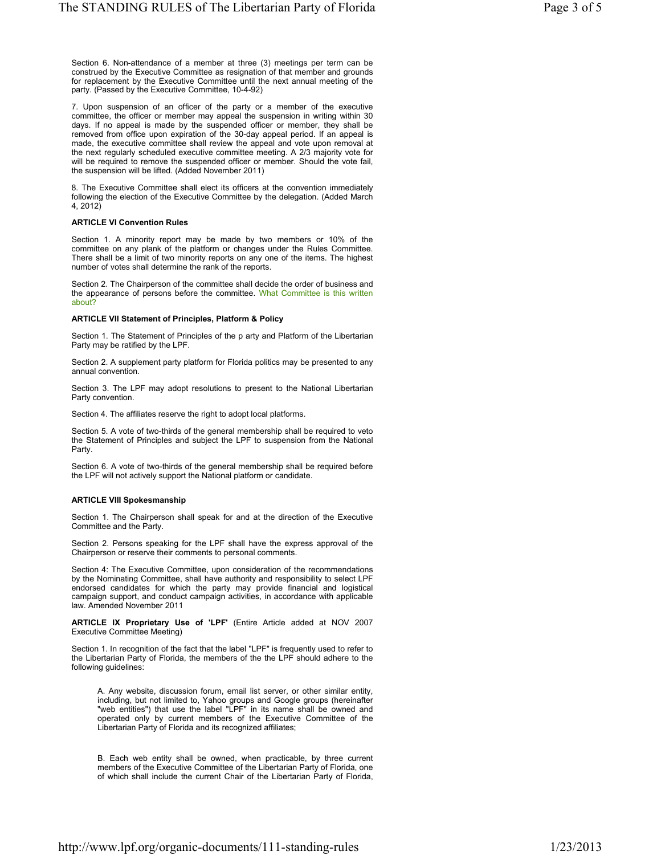Section 6. Non-attendance of a member at three (3) meetings per term can be construed by the Executive Committee as resignation of that member and grounds for replacement by the Executive Committee until the next annual meeting of the party. (Passed by the Executive Committee, 10-4-92)

7. Upon suspension of an officer of the party or a member of the executive committee, the officer or member may appeal the suspension in writing within 30 days. If no appeal is made by the suspended officer or member, they shall be removed from office upon expiration of the 30-day appeal period. If an appeal is made, the executive committee shall review the appeal and vote upon removal at the next regularly scheduled executive committee meeting. A 2/3 majority vote for will be required to remove the suspended officer or member. Should the vote fail, the suspension will be lifted. (Added November 2011)

8. The Executive Committee shall elect its officers at the convention immediately following the election of the Executive Committee by the delegation. (Added March 4, 2012)

## **ARTICLE VI Convention Rules**

Section 1. A minority report may be made by two members or 10% of the committee on any plank of the platform or changes under the Rules Committee. There shall be a limit of two minority reports on any one of the items. The highest number of votes shall determine the rank of the reports.

Section 2. The Chairperson of the committee shall decide the order of business and the appearance of persons before the committee. What Committee is this written about?

#### **ARTICLE VII Statement of Principles, Platform & Policy**

Section 1. The Statement of Principles of the p arty and Platform of the Libertarian Party may be ratified by the LPF.

Section 2. A supplement party platform for Florida politics may be presented to any annual convention.

Section 3. The LPF may adopt resolutions to present to the National Libertarian Party convention.

Section 4. The affiliates reserve the right to adopt local platforms.

Section 5. A vote of two-thirds of the general membership shall be required to veto the Statement of Principles and subject the LPF to suspension from the National Party

Section 6. A vote of two-thirds of the general membership shall be required before the LPF will not actively support the National platform or candidate.

#### **ARTICLE VIII Spokesmanship**

Section 1. The Chairperson shall speak for and at the direction of the Executive Committee and the Party.

Section 2. Persons speaking for the LPF shall have the express approval of the Chairperson or reserve their comments to personal comments.

Section 4: The Executive Committee, upon consideration of the recommendations by the Nominating Committee, shall have authority and responsibility to select LPF endorsed candidates for which the party may provide financial and logistical campaign support, and conduct campaign activities, in accordance with applicable law. Amended November 2011

**ARTICLE IX Proprietary Use of 'LPF'** (Entire Article added at NOV 2007 Executive Committee Meeting)

Section 1. In recognition of the fact that the label "LPF" is frequently used to refer to the Libertarian Party of Florida, the members of the the LPF should adhere to the following guidelines:

A. Any website, discussion forum, email list server, or other similar entity, including, but not limited to, Yahoo groups and Google groups (hereinafter "web entities") that use the label "LPF" in its name shall be owned and operated only by current members of the Executive Committee of the Libertarian Party of Florida and its recognized affiliates;

B. Each web entity shall be owned, when practicable, by three current members of the Executive Committee of the Libertarian Party of Florida, one of which shall include the current Chair of the Libertarian Party of Florida,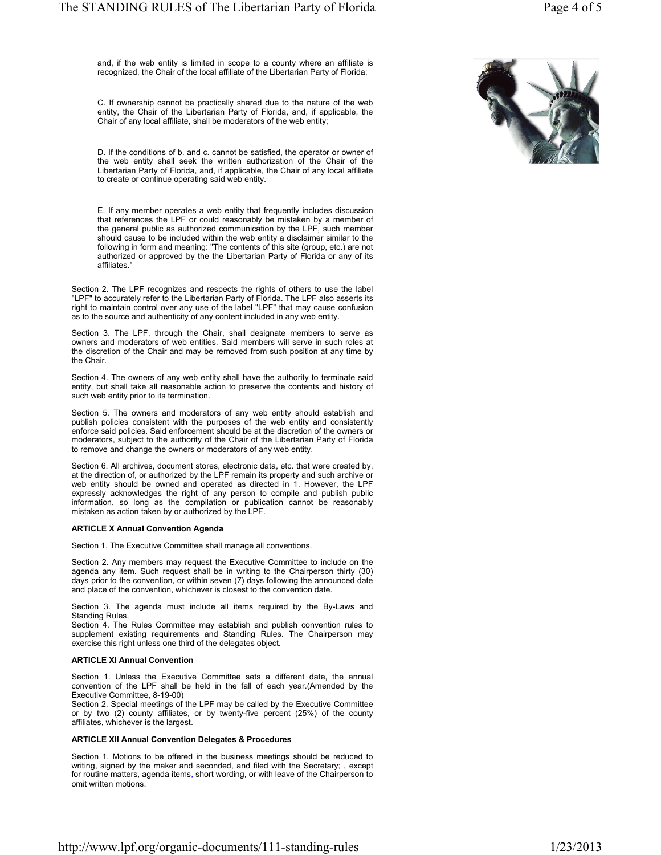and, if the web entity is limited in scope to a county where an affiliate is recognized, the Chair of the local affiliate of the Libertarian Party of Florida;

C. If ownership cannot be practically shared due to the nature of the web entity, the Chair of the Libertarian Party of Florida, and, if applicable, the Chair of any local affiliate, shall be moderators of the web entity;

D. If the conditions of b. and c. cannot be satisfied, the operator or owner of the web entity shall seek the written authorization of the Chair of the Libertarian Party of Florida, and, if applicable, the Chair of any local affiliate to create or continue operating said web entity.

E. If any member operates a web entity that frequently includes discussion that references the LPF or could reasonably be mistaken by a member of the general public as authorized communication by the LPF, such member should cause to be included within the web entity a disclaimer similar to the following in form and meaning: "The contents of this site (group, etc.) are not authorized or approved by the the Libertarian Party of Florida or any of its affiliates."

Section 2. The LPF recognizes and respects the rights of others to use the label "LPF" to accurately refer to the Libertarian Party of Florida. The LPF also asserts its right to maintain control over any use of the label "LPF" that may cause confusion as to the source and authenticity of any content included in any web entity.

Section 3. The LPF, through the Chair, shall designate members to serve as owners and moderators of web entities. Said members will serve in such roles at the discretion of the Chair and may be removed from such position at any time by the Chair.

Section 4. The owners of any web entity shall have the authority to terminate said entity, but shall take all reasonable action to preserve the contents and history of such web entity prior to its termination.

Section 5. The owners and moderators of any web entity should establish and publish policies consistent with the purposes of the web entity and consistently enforce said policies. Said enforcement should be at the discretion of the owners or moderators, subject to the authority of the Chair of the Libertarian Party of Florida to remove and change the owners or moderators of any web entity.

Section 6. All archives, document stores, electronic data, etc. that were created by, at the direction of, or authorized by the LPF remain its property and such archive or web entity should be owned and operated as directed in 1. However, the LPF expressly acknowledges the right of any person to compile and publish public information, so long as the compilation or publication cannot be reasonably mistaken as action taken by or authorized by the LPF.

# **ARTICLE X Annual Convention Agenda**

Section 1. The Executive Committee shall manage all conventions.

Section 2. Any members may request the Executive Committee to include on the agenda any item. Such request shall be in writing to the Chairperson thirty (30) days prior to the convention, or within seven (7) days following the announced date and place of the convention, whichever is closest to the convention date.

Section 3. The agenda must include all items required by the By-Laws and Standing Rules.

Section 4. The Rules Committee may establish and publish convention rules to supplement existing requirements and Standing Rules. The Chairperson may exercise this right unless one third of the delegates object.

# **ARTICLE XI Annual Convention**

Section 1. Unless the Executive Committee sets a different date, the annual convention of the LPF shall be held in the fall of each year.(Amended by the Executive Committee, 8-19-00)

Section 2. Special meetings of the LPF may be called by the Executive Committee or by two (2) county affiliates, or by twenty-five percent (25%) of the county affiliates, whichever is the largest.

# **ARTICLE XII Annual Convention Delegates & Procedures**

Section 1. Motions to be offered in the business meetings should be reduced to writing, signed by the maker and seconded, and filed with the Secretary; , except for routine matters, agenda items, short wording, or with leave of the Chairperson to omit written motions.